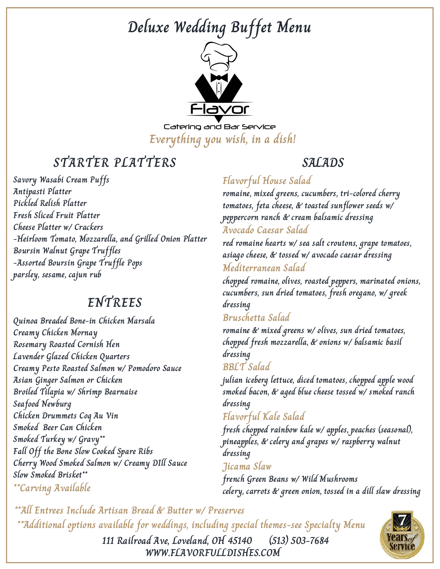

Catering and Bar Service **Everything you wish, in a dish!**

# **STARTER PLATTERS**

**Savory Wasabi Cream Puffs Antipasti Platter Pickled Relish Platter Fresh Sliced Fruit Platter Cheese Platter w/ Crackers -Heirloom Tomato, Mozzarella, and Grilled Onion Platter Boursin Walnut Grape Truffles -Assorted Boursin Grape Truffle Pops parsley, sesame, cajun rub**

### **ENTREES**

**Quinoa Breaded Bone-in Chicken Marsala Creamy Chicken Mornay Rosemary Roasted Cornish Hen Lavender Glazed Chicken Quarters Creamy Pesto Roasted Salmon w/ Pomodoro Sauce Asian Ginger Salmon or Chicken Broiled Tilapia w/ Shrimp Bearnaise Seafood Newburg Chicken Drummets Coq Au Vin Smoked Beer Can Chicken Smoked Turkey w/ Gravy\*\* Fall Off the Bone Slow Cooked Spare Ribs Cherry Wood Smoked Salmon w/ Creamy DIll Sauce Slow Smoked Brisket\*\* \*\*Carving Available**

### **SALADS**

### **Flavorful House Salad**

**romaine, mixed greens, cucumbers, tri-colored cherry tomatoes, feta cheese, & toasted sunflower seeds w/ peppercorn ranch & cream balsamic dressing**

#### **Avocado Caesar Salad**

**red romaine hearts w/ sea salt croutons, grape tomatoes, asiago cheese, & tossed w/ avocado caesar dressing Mediterranean Salad**

**chopped romaine, olives, roasted peppers, marinated onions, cucumbers, sun dried tomatoes, fresh oregano, w/ greek dressing**

#### **Bruschetta Salad**

**romaine & mixed greens w/ olives, sun dried tomatoes, chopped fresh mozzarella, & onions w/ balsamic basil dressing**

**BBLT Salad**

**julian iceberg lettuce, diced tomatoes, chopped apple wood smoked bacon, & aged blue cheese tossed w/ smoked ranch dressing**

#### **Flavorful Kale Salad**

**fresh chopped rainbow kale w/ apples, peaches (seasonal), pineapples, & celery and grapes w/ raspberry walnut dressing**

**Jicama Slaw**

**french Green Beans w/ Wild Mushrooms celery, carrots & green onion, tossed in a dill slaw dressing**

**\*\*All Entrees Include Artisan Bread & Butter w/ Preserves \*\*Additional options available for weddings, including special themes-see Specialty Menu**



**WWW.FLAVORFULLDISHES.COM 111 Railroad Ave, Loveland, OH 45140 (513) 503-7684**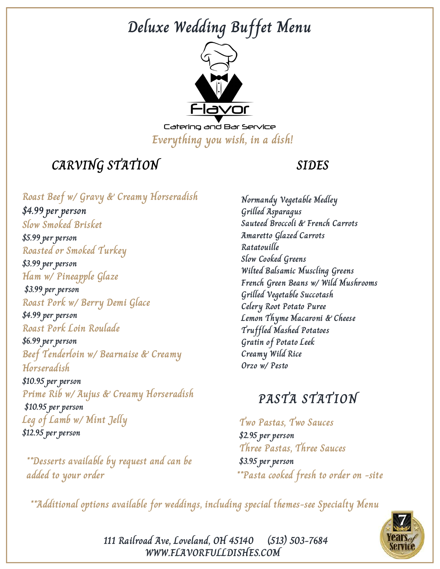

Catering and Bar Service **Everything you wish, in a dish!**

## **CARVING STATION**

#### **SIDES**

**Roast Beef w/ Gravy & Creamy Horseradish \$4.99 per person Slow Smoked Brisket \$5.99 per person Roasted or Smoked Turkey \$3.99 per person Ham w/ Pineapple Glaze \$3.99 per person Roast Pork w/ Berry Demi Glace \$4.99 per person Roast Pork Loin Roulade \$6.99 per person Beef Tenderloin w/ Bearnaise & Creamy Horseradish \$10.95 per person Prime Rib w/ Aujus & Creamy Horseradish \$10.95 per person Leg of Lamb w/ Mint Jelly \$12.95 per person**

**\*\*Desserts available by request and can be \$3.95 per person added to your order**

**Normandy Vegetable Medley Grilled Asparagus Sauteed Broccoli & French Carrots Amaretto Glazed Carrots Ratatouille Slow Cooked Greens Wilted Balsamic Muscling Greens French Green Beans w/ Wild Mushrooms Grilled Vegetable Succotash Celery Root Potato Puree Lemon Thyme Macaroni & Cheese Truffled Mashed Potatoes Gratin of Potato Leek Creamy Wild Rice Orzo w/ Pesto**

## **PASTA STATION**

**Two Pastas, Two Sauces \$2.95 per person Three Pastas, Three Sauces \*\*Pasta cooked fresh to order on -site**

**\*\*Additional options available for weddings, including special themes-see Specialty Menu**



**111 Railroad Ave, Loveland, OH 45140 (513) 503-7684 WWW.FLAVORFULLDISHES.COM**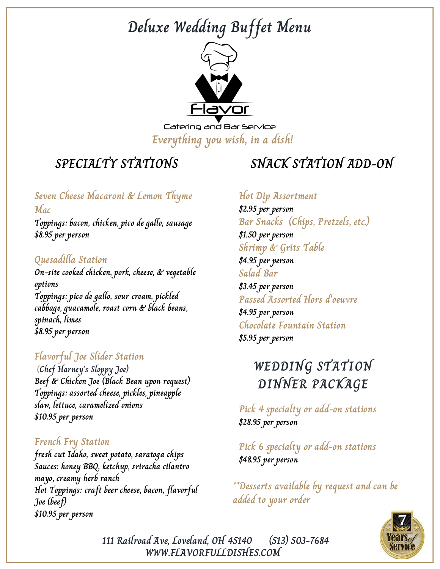

Catering and Bar Service **Everything you wish, in a dish!**

# **SPECIALTY STATIONS**

#### **Seven Cheese Macaroni & Lemon Thyme Mac**

**Toppings: bacon, chicken, pico de gallo, sausage \$8.95 per person**

#### **Quesadilla Station**

**On-site cooked chicken, pork, cheese, & vegetable options Toppings: pico de gallo, sour cream, pickled cabbage, guacamole, roast corn & black beans, spinach, limes \$8.95 per person**

### **Flavorful Joe Slider Station**

**(Chef Harney's Sloppy Joe) Beef & Chicken Joe (Black Bean upon request) Toppings: assorted cheese, pickles, pineapple slaw, lettuce, caramelized onions \$10.95 per person**

#### **French Fry Station**

**fresh cut Idaho, sweet potato, saratoga chips Sauces: honey BBQ, ketchup, sriracha cilantro mayo, creamy herb ranch Hot Toppings: craft beer cheese, bacon, flavorful Joe (beef) \$10.95 per person**

# **SNACK STATION ADD-ON**

#### **Hot Dip Assortment**

**\$2.95 per person Bar Snacks (Chips, Pretzels, etc.) \$1.50 per person Shrimp & Grits Table \$4.95 per person Salad Bar \$3.45 per person Passed Assorted Hors d'oeuvre \$4.95 per person Chocolate Fountain Station \$5.95 per person**

# **WEDDING STATION DINNER PACKAGE**

**Pick 4 specialty or add-on stations \$28.95 per person**

**Pick 6 specialty or add-on stations \$48.95 per person**

**\*\*Desserts available by request and can be added to your order**



**111 Railroad Ave, Loveland, OH 45140 (513) 503-7684 WWW.FLAVORFULLDISHES.COM**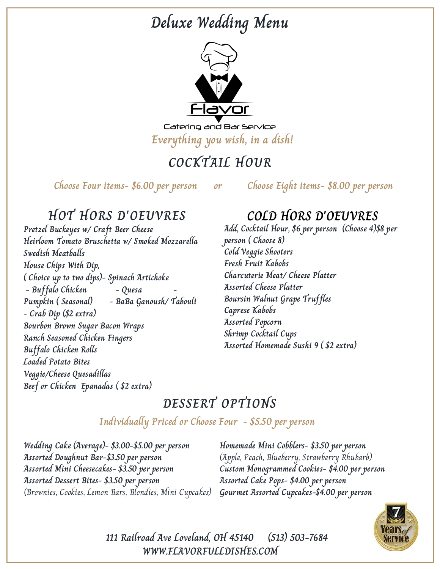# **Deluxe Wedding Menu**



Catering and Bar Service **Everything you wish, in a dish!**

# **COCKTAIL HOUR**

**Choose Four items- \$6.00 per person or Choose Eight items- \$8.00 per person**

## **HOT HORS D'OEUVRES**

**Pretzel Buckeyes w/ Craft Beer Cheese Heirloom Tomato Bruschetta w/ Smoked Mozzarella Swedish Meatballs House Chips With Dip, ( Choice up to two dips)- Spinach Artichoke - Buffalo Chicken - Quesa - Pumpkin ( Seasonal) - BaBa Ganoush/ Tabouli - Crab Dip (\$2 extra) Bourbon Brown Sugar Bacon Wraps Ranch Seasoned Chicken Fingers Buffalo Chicken Rolls Loaded Potato Bites Veggie/Cheese Quesadillas Beef or Chicken Epanadas ( \$2 extra)**

## **COLD HORS D'OEUVRES**

**Add, Cocktail Hour, \$6 per person (Choose 4)\$8 per person ( Choose 8) Cold Veggie Shooters Fresh Fruit Kabobs Charcuterie Meat/ Cheese Platter Assorted Cheese Platter Boursin Walnut Grape Truffles Caprese Kabobs Assorted Popcorn Shrimp Cocktail Cups Assorted Homemade Sushi 9 ( \$2 extra)**

## **DESSERT OPTIONS**

#### **Individually Priced or Choose Four - \$5.50 per person**

**Wedding Cake (Average)- \$3.00-\$5.00 per person Assorted Doughnut Bar-\$3.50 per person Assorted Mini Cheesecakes- \$3.50 per person Assorted Dessert Bites- \$3.50 per person** (Brownies, Cookies, Lemon Bars, Blondies, Mini Cupcakes)

**Homemade Mini Cobblers- \$3.50 per person** (Apple, Peach, Blueberry, Strawberry Rhubarb) **Custom Monogrammed Cookies- \$4.00 per person Assorted Cake Pops- \$4.00 per person Gourmet Assorted Cupcakes-\$4.00 per person**



**111 Railroad Ave Loveland, OH 45140 (513) 503-7684 WWW.FLAVORFULLDISHES.COM**